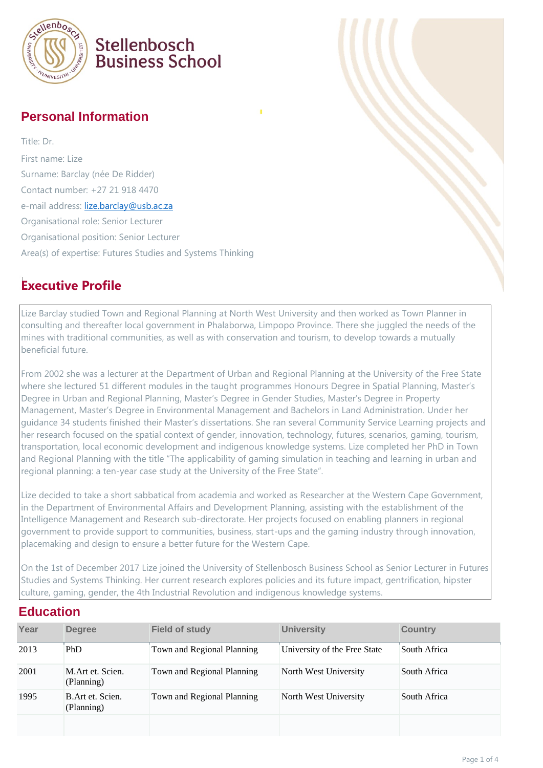

## Stellenbosch **Business School**

#### **Personal Information**

Title: Dr. First name: Lize Surname: Barclay (née De Ridder) Contact number: +27 21 918 4470 e-mail address: [lize.barclay@usb.ac.za](mailto:lize.barclay@usb.ac.za) Organisational role: Senior Lecturer Organisational position: Senior Lecturer Area(s) of expertise: Futures Studies and Systems Thinking

### **Executive Profile**

Lize Barclay studied Town and Regional Planning at North West University and then worked as Town Planner in consulting and thereafter local government in Phalaborwa, Limpopo Province. There she juggled the needs of the mines with traditional communities, as well as with conservation and tourism, to develop towards a mutually beneficial future.

From 2002 she was a lecturer at the Department of Urban and Regional Planning at the University of the Free State where she lectured 51 different modules in the taught programmes Honours Degree in Spatial Planning, Master's Degree in Urban and Regional Planning, Master's Degree in Gender Studies, Master's Degree in Property Management, Master's Degree in Environmental Management and Bachelors in Land Administration. Under her guidance 34 students finished their Master's dissertations. She ran several Community Service Learning projects and her research focused on the spatial context of gender, innovation, technology, futures, scenarios, gaming, tourism, transportation, local economic development and indigenous knowledge systems. Lize completed her PhD in Town and Regional Planning with the title "The applicability of gaming simulation in teaching and learning in urban and regional planning: a ten-year case study at the University of the Free State".

Lize decided to take a short sabbatical from academia and worked as Researcher at the Western Cape Government, in the Department of Environmental Affairs and Development Planning, assisting with the establishment of the Intelligence Management and Research sub-directorate. Her projects focused on enabling planners in regional government to provide support to communities, business, start-ups and the gaming industry through innovation, placemaking and design to ensure a better future for the Western Cape.

On the 1st of December 2017 Lize joined the University of Stellenbosch Business School as Senior Lecturer in Futures Studies and Systems Thinking. Her current research explores policies and its future impact, gentrification, hipster culture, gaming, gender, the 4th Industrial Revolution and indigenous knowledge systems.

#### **Education**

| Year | <b>Degree</b>                   | <b>Field of study</b>      | <b>University</b>            | <b>Country</b> |
|------|---------------------------------|----------------------------|------------------------------|----------------|
| 2013 | PhD                             | Town and Regional Planning | University of the Free State | South Africa   |
| 2001 | M.Art et. Scien.<br>(Planning)  | Town and Regional Planning | North West University        | South Africa   |
| 1995 | B. Art et. Scien.<br>(Planning) | Town and Regional Planning | North West University        | South Africa   |
|      |                                 |                            |                              |                |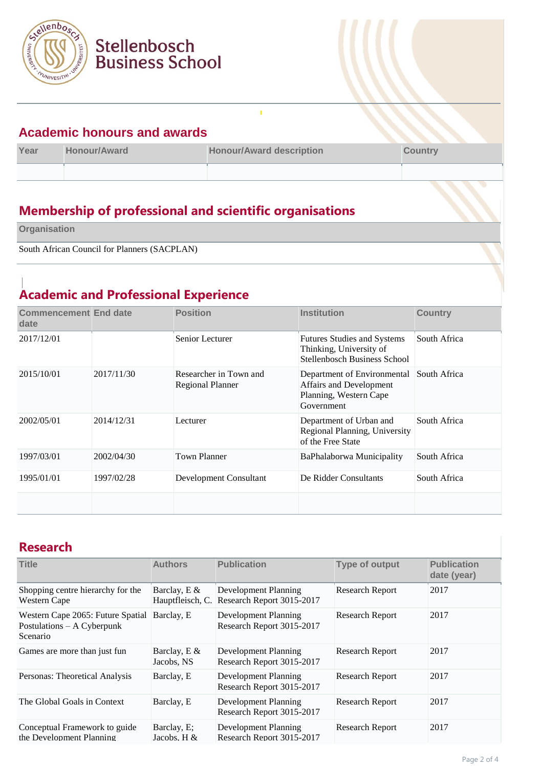

#### **Academic honours and awards**

Stellenbosch

**Business School** 

| Year | <b>Honour/Award</b> | <b>Honour/Award description</b> | <b>Country</b> |
|------|---------------------|---------------------------------|----------------|
|      |                     |                                 |                |

Ţ

## **Membership of professional and scientific organisations**

**Organisation**

South African Council for Planners (SACPLAN)

### **Academic and Professional Experience**

| <b>Commencement End date</b><br>date |            | <b>Position</b>                                   | <b>Institution</b>                                                                             | <b>Country</b> |
|--------------------------------------|------------|---------------------------------------------------|------------------------------------------------------------------------------------------------|----------------|
| 2017/12/01                           |            | Senior Lecturer                                   | <b>Futures Studies and Systems</b><br>Thinking, University of<br>Stellenbosch Business School  | South Africa   |
| 2015/10/01                           | 2017/11/30 | Researcher in Town and<br><b>Regional Planner</b> | Department of Environmental<br>Affairs and Development<br>Planning, Western Cape<br>Government | South Africa   |
| 2002/05/01                           | 2014/12/31 | Lecturer                                          | Department of Urban and<br>Regional Planning, University<br>of the Free State                  | South Africa   |
| 1997/03/01                           | 2002/04/30 | Town Planner                                      | BaPhalaborwa Municipality                                                                      | South Africa   |
| 1995/01/01                           | 1997/02/28 | Development Consultant                            | De Ridder Consultants                                                                          | South Africa   |
|                                      |            |                                                   |                                                                                                |                |

#### **Research**

| <b>Title</b>                                                                       | <b>Authors</b>                   | <b>Publication</b>                                       | <b>Type of output</b>  | <b>Publication</b><br>date (year) |
|------------------------------------------------------------------------------------|----------------------------------|----------------------------------------------------------|------------------------|-----------------------------------|
| Shopping centre hierarchy for the<br>Western Cape                                  | Barclay, E &<br>Hauptfleisch, C. | <b>Development Planning</b><br>Research Report 3015-2017 | <b>Research Report</b> | 2017                              |
| Western Cape 2065: Future Spatial<br>Postulations - A Cyberpunk<br><b>Scenario</b> | Barclay, E                       | <b>Development Planning</b><br>Research Report 3015-2017 | <b>Research Report</b> | 2017                              |
| Games are more than just fun                                                       | Barclay, E $&$<br>Jacobs, NS     | Development Planning<br>Research Report 3015-2017        | <b>Research Report</b> | 2017                              |
| Personas: Theoretical Analysis                                                     | Barclay, E                       | Development Planning<br>Research Report 3015-2017        | <b>Research Report</b> | 2017                              |
| The Global Goals in Context                                                        | Barclay, E                       | Development Planning<br>Research Report 3015-2017        | <b>Research Report</b> | 2017                              |
| Conceptual Framework to guide<br>the Development Planning                          | Barclay, E;<br>Jacobs, $H \&$    | Development Planning<br>Research Report 3015-2017        | <b>Research Report</b> | 2017                              |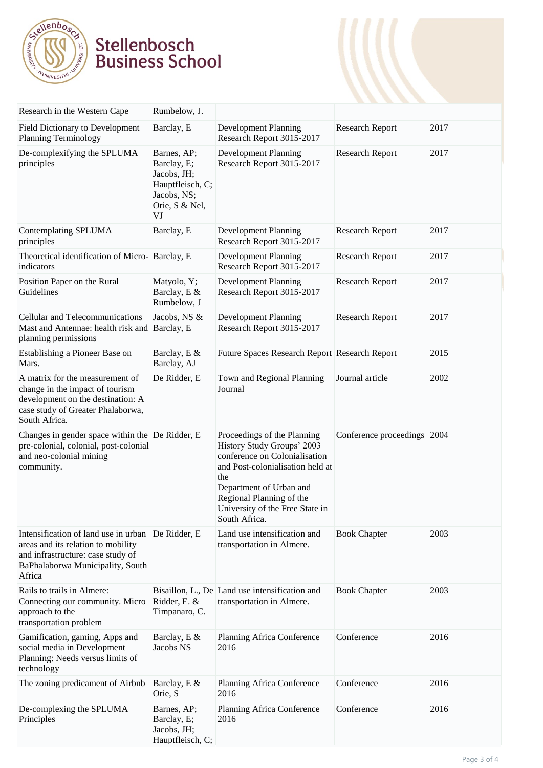

# Stellenbosch<br>Business School

| Research in the Western Cape                                                                                                                                  | Rumbelow, J.                                                                                         |                                                                                                                                                                                                                                                  |                             |      |
|---------------------------------------------------------------------------------------------------------------------------------------------------------------|------------------------------------------------------------------------------------------------------|--------------------------------------------------------------------------------------------------------------------------------------------------------------------------------------------------------------------------------------------------|-----------------------------|------|
| Field Dictionary to Development<br><b>Planning Terminology</b>                                                                                                | Barclay, E                                                                                           | <b>Development Planning</b><br>Research Report 3015-2017                                                                                                                                                                                         | <b>Research Report</b>      | 2017 |
| De-complexifying the SPLUMA<br>principles                                                                                                                     | Barnes, AP;<br>Barclay, E;<br>Jacobs, JH;<br>Hauptfleisch, C;<br>Jacobs, NS;<br>Orie, S & Nel,<br>VJ | <b>Development Planning</b><br>Research Report 3015-2017                                                                                                                                                                                         | <b>Research Report</b>      | 2017 |
| Contemplating SPLUMA<br>principles                                                                                                                            | Barclay, E                                                                                           | <b>Development Planning</b><br>Research Report 3015-2017                                                                                                                                                                                         | <b>Research Report</b>      | 2017 |
| Theoretical identification of Micro-Barclay, E<br>indicators                                                                                                  |                                                                                                      | <b>Development Planning</b><br>Research Report 3015-2017                                                                                                                                                                                         | <b>Research Report</b>      | 2017 |
| Position Paper on the Rural<br>Guidelines                                                                                                                     | Matyolo, Y;<br>Barclay, E &<br>Rumbelow, J                                                           | <b>Development Planning</b><br>Research Report 3015-2017                                                                                                                                                                                         | <b>Research Report</b>      | 2017 |
| Cellular and Telecommunications<br>Mast and Antennae: health risk and Barclay, E<br>planning permissions                                                      | Jacobs, NS &                                                                                         | <b>Development Planning</b><br>Research Report 3015-2017                                                                                                                                                                                         | <b>Research Report</b>      | 2017 |
| Establishing a Pioneer Base on<br>Mars.                                                                                                                       | Barclay, E &<br>Barclay, AJ                                                                          | Future Spaces Research Report Research Report                                                                                                                                                                                                    |                             | 2015 |
| A matrix for the measurement of<br>change in the impact of tourism<br>development on the destination: A<br>case study of Greater Phalaborwa,<br>South Africa. | De Ridder, E                                                                                         | Town and Regional Planning<br>Journal                                                                                                                                                                                                            | Journal article             | 2002 |
| Changes in gender space within the De Ridder, E<br>pre-colonial, colonial, post-colonial<br>and neo-colonial mining<br>community.                             |                                                                                                      | Proceedings of the Planning<br>History Study Groups' 2003<br>conference on Colonialisation<br>and Post-colonialisation held at<br>the<br>Department of Urban and<br>Regional Planning of the<br>University of the Free State in<br>South Africa. | Conference proceedings 2004 |      |
| Intensification of land use in urban<br>areas and its relation to mobility<br>and infrastructure: case study of<br>BaPhalaborwa Municipality, South<br>Africa | De Ridder, E                                                                                         | Land use intensification and<br>transportation in Almere.                                                                                                                                                                                        | <b>Book Chapter</b>         | 2003 |
| Rails to trails in Almere:<br>Connecting our community. Micro<br>approach to the<br>transportation problem                                                    | Ridder, E. &<br>Timpanaro, C.                                                                        | Bisaillon, L., De Land use intensification and<br>transportation in Almere.                                                                                                                                                                      | <b>Book Chapter</b>         | 2003 |
| Gamification, gaming, Apps and<br>social media in Development<br>Planning: Needs versus limits of<br>technology                                               | Barclay, E &<br>Jacobs NS                                                                            | Planning Africa Conference<br>2016                                                                                                                                                                                                               | Conference                  | 2016 |
| The zoning predicament of Airbnb                                                                                                                              | Barclay, E &<br>Orie, S                                                                              | Planning Africa Conference<br>2016                                                                                                                                                                                                               | Conference                  | 2016 |
| De-complexing the SPLUMA<br>Principles                                                                                                                        | Barnes, AP;<br>Barclay, E;<br>Jacobs, JH;<br>Hauptfleisch, C;                                        | Planning Africa Conference<br>2016                                                                                                                                                                                                               | Conference                  | 2016 |